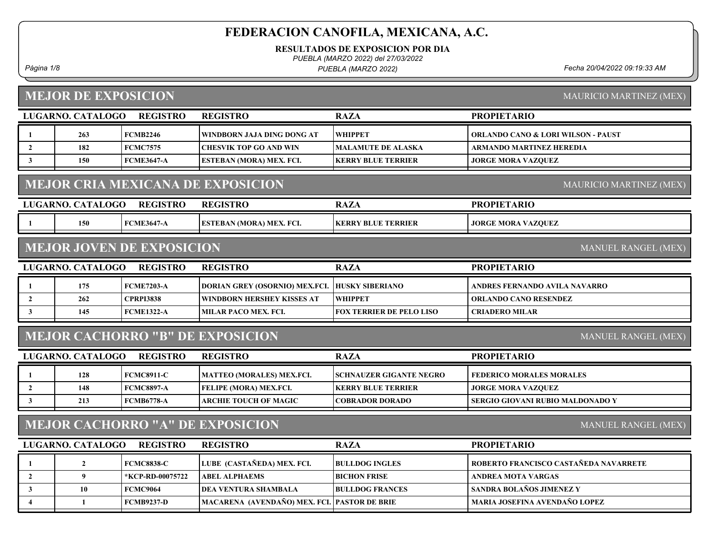RESULTADOS DE EXPOSICION POR DIA

PUEBLA (MARZO 2022) del 27/03/2022

PUEBLA (MARZO 2022)

Página 1/8 Fecha 20/04/2022 09:19:33 AM

# MEJOR DE EXPOSICION

MAURICIO MARTINEZ (MEX)

|                                                                | LUGARNO. CATALOGO                                                   | <b>REGISTRO</b>                  | <b>REGISTRO</b>                              | <b>RAZA</b>                     | <b>PROPIETARIO</b>                    |  |  |  |
|----------------------------------------------------------------|---------------------------------------------------------------------|----------------------------------|----------------------------------------------|---------------------------------|---------------------------------------|--|--|--|
|                                                                | 263                                                                 | <b>FCMB2246</b>                  | WINDBORN JAJA DING DONG AT                   | WHIPPET                         | ORLANDO CANO & LORI WILSON - PAUST    |  |  |  |
| $\overline{2}$                                                 | 182                                                                 | <b>FCMC7575</b>                  | <b>CHESVIK TOP GO AND WIN</b>                | <b>MALAMUTE DE ALASKA</b>       | ARMANDO MARTINEZ HEREDIA              |  |  |  |
| $\mathbf{3}$                                                   | 150                                                                 | <b>FCME3647-A</b>                | ESTEBAN (MORA) MEX. FCI.                     | <b>KERRY BLUE TERRIER</b>       | <b>JORGE MORA VAZQUEZ</b>             |  |  |  |
|                                                                | <b>MEJOR CRIA MEXICANA DE EXPOSICION</b><br>MAURICIO MARTINEZ (MEX) |                                  |                                              |                                 |                                       |  |  |  |
|                                                                | LUGARNO, CATALOGO                                                   | <b>REGISTRO</b>                  | <b>REGISTRO</b>                              | <b>RAZA</b>                     | <b>PROPIETARIO</b>                    |  |  |  |
|                                                                | 150                                                                 | <b>FCME3647-A</b>                | ESTEBAN (MORA) MEX. FCI.                     | <b>KERRY BLUE TERRIER</b>       | <b>JORGE MORA VAZQUEZ</b>             |  |  |  |
|                                                                |                                                                     | <b>MEJOR JOVEN DE EXPOSICION</b> |                                              |                                 | MANUEL RANGEL (MEX)                   |  |  |  |
|                                                                | LUGARNO. CATALOGO                                                   | <b>REGISTRO</b>                  | <b>REGISTRO</b>                              | <b>RAZA</b>                     | <b>PROPIETARIO</b>                    |  |  |  |
|                                                                | 175                                                                 | <b>FCME7203-A</b>                | DORIAN GREY (OSORNIO) MEX.FCI.               | <b>HUSKY SIBERIANO</b>          | ANDRES FERNANDO AVILA NAVARRO         |  |  |  |
| $\mathbf{2}$                                                   | 262                                                                 | <b>CPRPI3838</b>                 | <b>WINDBORN HERSHEY KISSES AT</b>            | <b>WHIPPET</b>                  | <b>ORLANDO CANO RESENDEZ</b>          |  |  |  |
| $\mathbf{3}$                                                   | 145                                                                 | <b>FCME1322-A</b>                | <b>MILAR PACO MEX. FCI.</b>                  | <b>FOX TERRIER DE PELO LISO</b> | <b>CRIADERO MILAR</b>                 |  |  |  |
|                                                                |                                                                     |                                  | <b>MEJOR CACHORRO "B" DE EXPOSICION</b>      |                                 | <b>MANUEL RANGEL (MEX)</b>            |  |  |  |
|                                                                | LUGARNO. CATALOGO                                                   | <b>REGISTRO</b>                  | <b>REGISTRO</b>                              | <b>RAZA</b>                     | <b>PROPIETARIO</b>                    |  |  |  |
|                                                                | 128                                                                 | <b>FCMC8911-C</b>                | <b>MATTEO (MORALES) MEX.FCI.</b>             | <b>SCHNAUZER GIGANTE NEGRO</b>  | <b>FEDERICO MORALES MORALES</b>       |  |  |  |
| $\overline{2}$                                                 | 148                                                                 | <b>FCMC8897-A</b>                | FELIPE (MORA) MEX.FCI.                       | <b>KERRY BLUE TERRIER</b>       | <b>JORGE MORA VAZQUEZ</b>             |  |  |  |
| 3                                                              | 213                                                                 | <b>FCMB6778-A</b>                | ARCHIE TOUCH OF MAGIC                        | <b>COBRADOR DORADO</b>          | SERGIO GIOVANI RUBIO MALDONADO Y      |  |  |  |
| <b>MEJOR CACHORRO "A" DE EXPOSICION</b><br>MANUEL RANGEL (MEX) |                                                                     |                                  |                                              |                                 |                                       |  |  |  |
|                                                                | <b>LUGARNO. CATALOGO</b>                                            | <b>REGISTRO</b>                  | <b>REGISTRO</b>                              | <b>RAZA</b>                     | <b>PROPIETARIO</b>                    |  |  |  |
|                                                                | $\overline{2}$                                                      | <b>FCMC8838-C</b>                | LUBE (CASTAÑEDA) MEX. FCI.                   | <b>BULLDOG INGLES</b>           | ROBERTO FRANCISCO CASTAÑEDA NAVARRETE |  |  |  |
| $\overline{2}$                                                 | 9                                                                   | *KCP-RD-00075722                 | <b>ABEL ALPHAEMS</b>                         | <b>BICHON FRISE</b>             | <b>ANDREA MOTA VARGAS</b>             |  |  |  |
| 3                                                              | 10                                                                  | <b>FCMC9064</b>                  | <b>DEA VENTURA SHAMBALA</b>                  | <b>BULLDOG FRANCES</b>          | SANDRA BOLAÑOS JIMENEZ Y              |  |  |  |
| $\overline{4}$                                                 | 1                                                                   | <b>FCMB9237-D</b>                | MACARENA (AVENDAÑO) MEX. FCI. PASTOR DE BRIE |                                 | MARIA JOSEFINA AVENDAÑO LOPEZ         |  |  |  |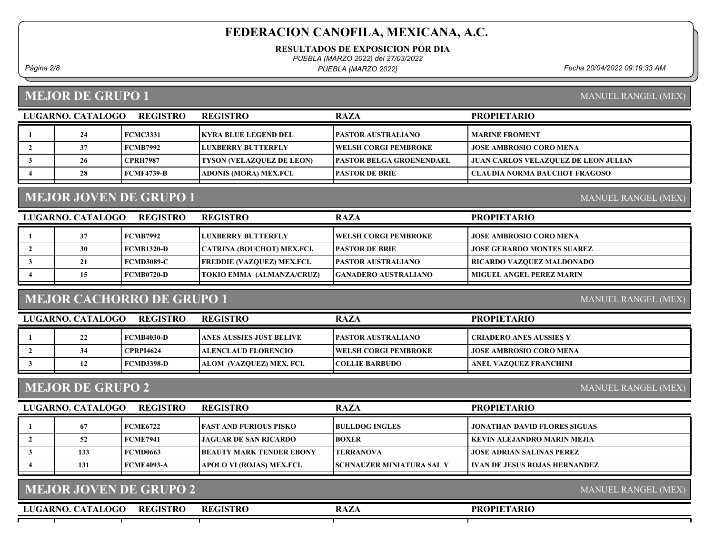RESULTADOS DE EXPOSICION POR DIA

PUEBLA (MARZO 2022) del 27/03/2022

PUEBLA (MARZO 2022)

Página 2/8 Fecha 20/04/2022 09:19:33 AM

#### MEJOR DE GRUPO 1

MANUEL RANGEL (MEX)

| LUGARNO. CATALOGO | <b>REGISTRO</b>   | <b>REGISTRO</b>                  | <b>RAZA</b>                      | <b>PROPIETARIO</b>                          |
|-------------------|-------------------|----------------------------------|----------------------------------|---------------------------------------------|
| 24                | FCMC3331          | <b>KYRA BLUE LEGEND DEL</b>      | <b>IPASTOR AUSTRALIANO</b>       | <b>MARINE FROMENT</b>                       |
| 37                | FCMB7992          | LUXBERRY BUTTERFLY               | <b>TWELSH CORGI PEMBROKE</b>     | <b>JOSE AMBROSIO CORO MENA</b>              |
| 26                | CPRH7987          | <b>TYSON (VELAZQUEZ DE LEON)</b> | <b>TPASTOR BELGA GROENENDAEL</b> | <b>JUAN CARLOS VELAZQUEZ DE LEON JULIAN</b> |
| 28                | <b>FCMF4739-B</b> | ADONIS (MORA) MEX.FCI.           | <b>PASTOR DE BRIE</b>            | <b>CLAUDIA NORMA BAUCHOT FRAGOSO</b>        |
|                   |                   |                                  |                                  |                                             |

#### MEJOR JOVEN DE GRUPO 1

LUGARNO. CATALOGO REGISTRO REGISTRO RAZA PROPIETARIO 1 37 FCMB7992 LUXBERRY BUTTERFLY WELSH CORGI PEMBROKE JOSE AMBROSIO CORO MENA 2 30 FCMB1320-D CATRINA (BOUCHOT) MEX.FCI. PASTOR DE BRIE JOSE GERARDO MONTES SUAREZ 3 21 FCMD3089-C FREDDIE (VAZQUEZ) MEX.FCI. PASTOR AUSTRALIANO RICARDO VAZQUEZ MALDONADO 4 15 FCMB0720-D TOKIO EMMA (ALMANZA/CRUZ) GANADERO AUSTRALIANO MIGUEL ANGEL PEREZ MARIN

#### MEJOR CACHORRO DE GRUPO 1

MANUEL RANGEL (MEX)

MANUEL RANGEL (MEX)

| LUGARNO. CATALOGO | REGISTRO         | <b>REGISTRO</b>           | <b>RAZA</b>                  | <b>PROPIETARIO</b>             |
|-------------------|------------------|---------------------------|------------------------------|--------------------------------|
| 22                | FCMB4030-D       | LANES AUSSIES JUST BELIVE | <b>PASTOR AUSTRALIANO</b>    | <b>CRIADERO ANES AUSSIES Y</b> |
| 34                | <b>CPRPI4624</b> | ALENCLAUD FLORENCIO       | <b>IWELSH CORGI PEMBROKE</b> | <b>JOSE AMBROSIO CORO MENA</b> |
|                   | FCMD3398-D       | ALOM (VAZQUEZ) MEX. FCI.  | <b>COLLIE BARBUDO</b>        | ANEL VAZOUEZ FRANCHINI         |
|                   |                  |                           |                              |                                |

#### MEJOR DE GRUPO 2

MANUEL RANGEL (MEX)

| LUGARNO. CATALOGO | <b>REGISTRO</b> | <b>REGISTRO</b>                  | <b>RAZA</b>                       | <b>PROPIETARIO</b>                  |
|-------------------|-----------------|----------------------------------|-----------------------------------|-------------------------------------|
| 67                | <b>FCME6722</b> | <b> FAST AND FURIOUS PISKO</b>   | <b>BULLDOG INGLES</b>             | <b>JONATHAN DAVID FLORES SIGUAS</b> |
| 52                | <b>FCME7941</b> | <b>JAGUAR DE SAN RICARDO</b>     | <b>BOXER</b>                      | KEVIN ALEJANDRO MARIN MEJIA         |
| 133               | FCMD0663        | <b>IBEAUTY MARK TENDER EBONY</b> | <b>TERRANOVA</b>                  | <b>JOSE ADRIAN SALINAS PEREZ</b>    |
| 131               | FCME4093-A      | APOLO VI (ROJAS) MEX.FCI.        | <b>ISCHNAUZER MINIATURA SAL Y</b> | IVAN DE JESUS ROJAS HERNANDEZ       |

| MEJOR JOVEN DE GRUPO 2 |  |                 |                 |      |  | <b>MANUEL RANGEL (MEX)</b> |  |
|------------------------|--|-----------------|-----------------|------|--|----------------------------|--|
| LUGARNO. CATALOGO      |  | <b>REGISTRO</b> | <b>REGISTRO</b> | RAZA |  | <b>PROPIETARIO</b>         |  |
|                        |  |                 |                 |      |  |                            |  |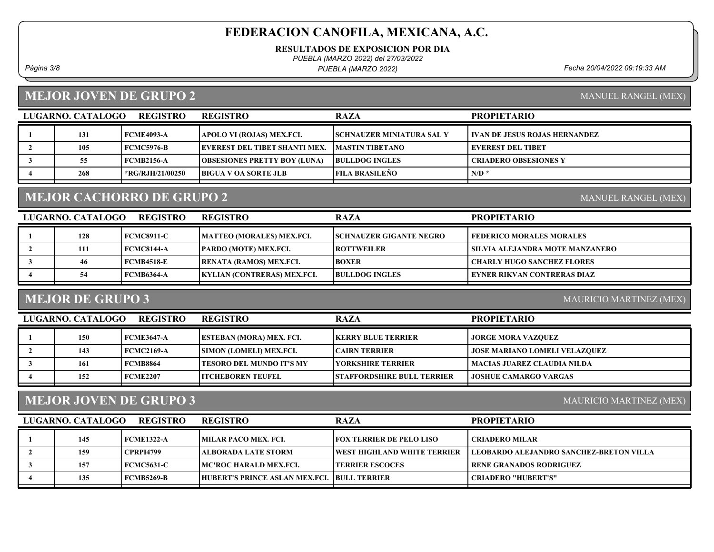RESULTADOS DE EXPOSICION POR DIA

PUEBLA (MARZO 2022) del 27/03/2022

PUEBLA (MARZO 2022)

Página 3/8 Fecha 20/04/2022 09:19:33 AM

#### MEJOR JOVEN DE GRUPO 2

| <b>MANUEL RANGEL (MEX)</b> |  |
|----------------------------|--|
|                            |  |

MANUEL RANGEL (MEX)

| LUGARNO. CATALOGO | <b>REGISTRO</b>   | <b>REGISTRO</b>                       | <b>RAZA</b>                      | <b>PROPIETARIO</b>              |
|-------------------|-------------------|---------------------------------------|----------------------------------|---------------------------------|
| 131               | <b>FCME4093-A</b> | APOLO VI (ROJAS) MEX.FCI.             | <b>SCHNAUZER MINIATURA SAL Y</b> | I IVAN DE JESUS ROJAS HERNANDEZ |
| 105               | <b>FCMC5976-B</b> | <b>IEVEREST DEL TIBET SHANTI MEX.</b> | <b>IMASTIN TIBETANO</b>          | EVEREST DEL TIBET               |
| 55                | FCMB2156-A        | <b>OBSESIONES PRETTY BOY (LUNA)</b>   | <b>BULLDOG INGLES</b>            | CRIADERO OBSESIONES Y           |
| 268               | *RG/RJH/21/00250  | <b>BIGUA V OA SORTE JLB</b>           | FILA BRASILEÑO                   | N/D                             |

### MEJOR CACHORRO DE GRUPO 2

| LUGARNO. CATALOGO | <b>REGISTRO</b>   | <b>REGISTRO</b>                    | <b>RAZA</b>                     | <b>PROPIETARIO</b>                |
|-------------------|-------------------|------------------------------------|---------------------------------|-----------------------------------|
| 128               | <b>FCMC8911-C</b> | MATTEO (MORALES) MEX.FCI.          | <b>ISCHNAUZER GIGANTE NEGRO</b> | <b>FEDERICO MORALES MORALES</b>   |
| 111               | <b>FCMC8144-A</b> | <b>PARDO (MOTE) MEX.FCI.</b>       | <b>ROTTWEILER</b>               | SILVIA ALEJANDRA MOTE MANZANERO_  |
| 46                | <b>FCMB4518-E</b> | <b>RENATA (RAMOS) MEX.FCI.</b>     | <b>BOXER</b>                    | <b>CHARLY HUGO SANCHEZ FLORES</b> |
| 54                | <b>FCMB6364-A</b> | <b>KYLIAN (CONTRERAS) MEX.FCI.</b> | <b>BULLDOG INGLES</b>           | EYNER RIKVAN CONTRERAS DIAZ       |
|                   |                   |                                    |                                 |                                   |

#### MEJOR DE GRUPO 3

MAURICIO MARTINEZ (MEX)

| LUGARNO. CATALOGO | <b>REGISTRO</b>   | <b>REGISTRO</b>                 | <b>RAZA</b>                       | <b>PROPIETARIO</b>                   |
|-------------------|-------------------|---------------------------------|-----------------------------------|--------------------------------------|
| 150               | <b>FCME3647-A</b> | ESTEBAN (MORA) MEX. FCI.        | <b>IKERRY BLUE TERRIER</b>        | <b>JORGE MORA VAZQUEZ</b>            |
| 143               | FCMC2169-A        | <b>SIMON (LOMELI) MEX.FCI.</b>  | <b>ICAIRN TERRIER</b>             | <b>JOSE MARIANO LOMELI VELAZOUEZ</b> |
| 161               | <b>FCMB8864</b>   | <b>TESORO DEL MUNDO IT'S MY</b> | <b>TYORKSHIRE TERRIER</b>         | <b>MACIAS JUAREZ CLAUDIA NILDA</b>   |
| 152               | <b>FCME2207</b>   | <b>TITCHEBOREN TEUFEL</b>       | <b>STAFFORDSHIRE BULL TERRIER</b> | <b>JOSHUE CAMARGO VARGAS</b>         |
|                   |                   |                                 |                                   |                                      |

#### MEJOR JOVEN DE GRUPO 3

MAURICIO MARTINEZ (MEX)

| LUGARNO. CATALOGO | <b>REGISTRO</b>  | <b>REGISTRO</b>                              | <b>RAZA</b>                         | <b>PROPIETARIO</b>                             |
|-------------------|------------------|----------------------------------------------|-------------------------------------|------------------------------------------------|
| 145               | FCME1322-A       | <b>MILAR PACO MEX. FCI.</b>                  | <b>FOX TERRIER DE PELO LISO</b>     | CRIADERO MILAR                                 |
| 159               | <b>CPRPI4799</b> | ALBORADA LATE STORM                          | <b>TWEST HIGHLAND WHITE TERRIER</b> | <b>LEOBARDO ALEJANDRO SANCHEZ-BRETON VILLA</b> |
| 157               | FCMC5631-C       | MC'ROC HARALD MEX.FCL                        | <b>TERRIER ESCOCES</b>              | <b>RENE GRANADOS RODRIGUEZ</b>                 |
| 135               | FCMB5269-B       | HUBERT'S PRINCE ASLAN MEX.FCI.  BULL TERRIER |                                     | <b>CRIADERO "HUBERT'S"</b>                     |
|                   |                  |                                              |                                     |                                                |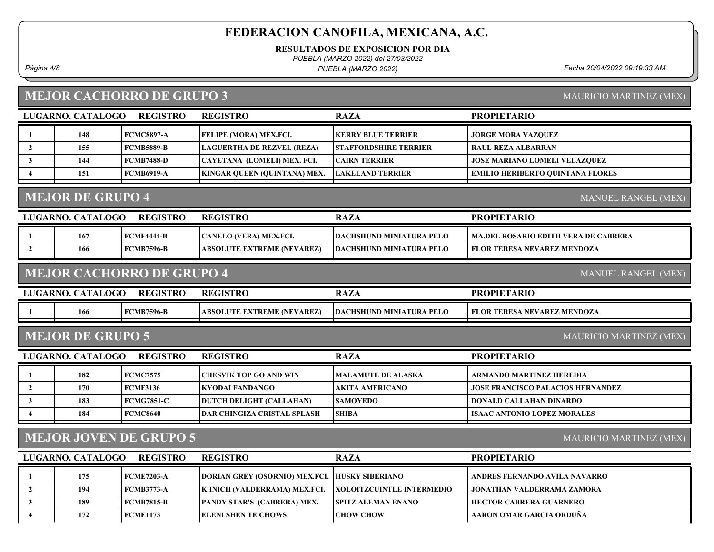RESULTADOS DE EXPOSICION POR DIA

PUEBLA (MARZO 2022) del 27/03/2022

PUEBLA (MARZO 2022)

Página 4/8 Fecha 20/04/2022 09:19:33 AM

#### MEJOR CACHORRO DE GRUPO 3

| <b>MAURICIO MARTINEZ (MEX)</b> |  |
|--------------------------------|--|
|                                |  |

| LUGARNO. CATALOGO | <b>REGISTRO</b> | <b>REGISTRO</b>                     | <b>RAZA</b>                  | <b>PROPIETARIO</b>                      |
|-------------------|-----------------|-------------------------------------|------------------------------|-----------------------------------------|
| 148               | FCMC8897-A      | <b>FELIPE (MORA) MEX.FCI.</b>       | <b>IKERRY BLUE TERRIER</b>   | <b>JORGE MORA VAZQUEZ</b>               |
| 155               | FCMB5889-B      | <b>LAGUERTHA DE REZVEL (REZA)</b>   | <b>STAFFORDSHIRE TERRIER</b> | RAUL REZA ALBARRAN                      |
| 144               | FCMB7488-D      | CAYETANA (LOMELI) MEX. FCI.         | <b>CAIRN TERRIER</b>         | <b>JOSE MARIANO LOMELI VELAZQUEZ</b>    |
| 151               | FCMB6919-A      | <b>KINGAR QUEEN (QUINTANA) MEX.</b> | LAKELAND TERRIER             | <b>EMILIO HERIBERTO QUINTANA FLORES</b> |

#### MEJOR DE GRUPO 4

LUGARNO. CATALOGO REGISTRO RAZA PROPIETARIO REGISTRO 1 167 FCMF4444-B CANELO (VERA) MEX.FCI. DACHSHUND MINIATURA PELO MA.DEL ROSARIO EDITH VERA DE CABRERA 2 | 166 | FCMB7596-B | ABSOLUTE EXTREME (NEVAREZ) | DACHSHUND MINIATURA PELO | FLOR TERESA NEVAREZ MENDOZA

#### MEJOR CACHORRO DE GRUPO 4

MANUEL RANGEL (MEX)

MANUEL RANGEL (MEX)

| LUGARNO. CATALOGO | <b>REGISTRO</b>   | <b>REGISTRO</b>                   | <b>RAZA</b>                     | <b>PROPIETARIO</b>                 |
|-------------------|-------------------|-----------------------------------|---------------------------------|------------------------------------|
| 166               | <b>FCMB7596-B</b> | <b>ABSOLUTE EXTREME (NEVAREZ)</b> | <b>DACHSHUND MINIATURA PELO</b> | <b>FLOR TERESA NEVAREZ MENDOZA</b> |
|                   |                   |                                   |                                 |                                    |

#### MEJOR DE GRUPO 5

MAURICIO MARTINEZ (MEX)

| <b>REGISTRO</b><br>LUGARNO. CATALOGO |     |                   | <b>REGISTRO</b>                    | <b>RAZA</b>                | <b>PROPIETARIO</b>                       |
|--------------------------------------|-----|-------------------|------------------------------------|----------------------------|------------------------------------------|
|                                      | 182 | <b>FCMC7575</b>   | CHESVIK TOP GO AND WIN             | <b>IMALAMUTE DE ALASKA</b> | ARMANDO MARTINEZ HEREDIA                 |
|                                      | 170 | <b>FCMF3136</b>   | <b>IKYODAI FANDANGO</b>            | <b>LAKITA AMERICANO</b>    | <b>JOSE FRANCISCO PALACIOS HERNANDEZ</b> |
|                                      | 183 | <b>FCMG7851-C</b> | <b>DUTCH DELIGHT (CALLAHAN)</b>    | <b>ISAMOYEDO</b>           | -DONALD CALLAHAN DINARDO                 |
|                                      | 184 | <b>FCMC8640</b>   | <b>DAR CHINGIZA CRISTAL SPLASH</b> | <b>SHIBA</b>               | I ISAAC ANTONIO LOPEZ MORALES-           |
|                                      |     |                   |                                    |                            |                                          |

#### MEJOR JOVEN DE GRUPO 5

MAURICIO MARTINEZ (MEX)

| <b>REGISTRO</b><br>LUGARNO. CATALOGO |     |                   | <b>REGISTRO</b>                                | <b>RAZA</b>                       | <b>PROPIETARIO</b>                |
|--------------------------------------|-----|-------------------|------------------------------------------------|-----------------------------------|-----------------------------------|
|                                      | 175 | <b>FCME7203-A</b> | DORIAN GREY (OSORNIO) MEX.FCI. HUSKY SIBERIANO |                                   | ANDRES FERNANDO AVILA NAVARRO     |
|                                      | 194 | <b>FCMB3773-A</b> | <b>TK'INICH (VALDERRAMA) MEX.FCI.</b>          | <b>IXOLOITZCUINTLE INTERMEDIO</b> | <b>JONATHAN VALDERRAMA ZAMORA</b> |
|                                      | 189 | <b>FCMB7815-B</b> | <b>PANDY STAR'S (CABRERA) MEX.</b>             | <b>SPITZ ALEMAN ENANO</b>         | <b>HECTOR CABRERA GUARNERO</b>    |
|                                      | 172 | <b>FCME1173</b>   | <b>IELENI SHEN TE CHOWS</b>                    | <b>CHOW CHOW</b>                  | AARON OMAR GARCIA ORDUÑA          |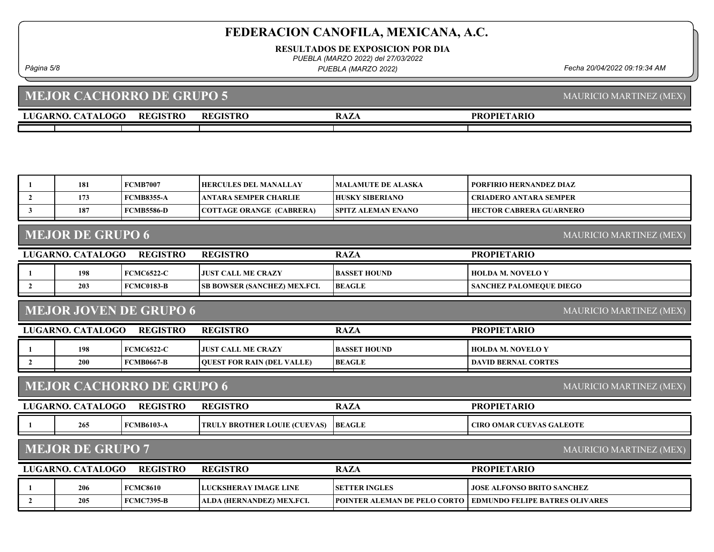RESULTADOS DE EXPOSICION POR DIA

PUEBLA (MARZO 2022) del 27/03/2022

PUEBLA (MARZO 2022)

Página 5/8 Fecha 20/04/2022 09:19:34 AM

MAURICIO MARTINEZ (MEX)

MAURICIO MARTINEZ (MEX)

MAURICIO MARTINEZ (MEX)

MAURICIO MARTINEZ (MEX)

# LUGARNO. CATALOGO REGISTRO REGISTRO RAZA MEJOR CACHORRO DE GRUPO 5 **PROPIETARIO**

| 181 | <b>FCMB7007</b>   | <b>THERCULES DEL MANALLAY</b>   | <b>MALAMUTE DE ALASKA</b> | PORFIRIO HERNANDEZ DIAZ-  |
|-----|-------------------|---------------------------------|---------------------------|---------------------------|
| 173 | <b>FCMB8355-A</b> | ANTARA SEMPER CHARLIE           | <b>HUSKY SIBERIANO</b>    | ! CRIADERO ANTARA SEMPER- |
| 187 | FCMB5586-D        | <b>COTTAGE ORANGE (CABRERA)</b> | ISPITZ ALEMAN ENANO       | I HECTOR CABRERA GUARNERO |
|     |                   |                                 |                           |                           |
|     |                   |                                 |                           |                           |

#### MEJOR DE GRUPO 6

| LUGARNO. CATALOGO | <b>REGISTRO</b>   | <b>REGISTRO</b>                      | <b>RAZA</b>         | <b>PROPIETARIO</b>       |
|-------------------|-------------------|--------------------------------------|---------------------|--------------------------|
| 198               | <b>FCMC6522-C</b> | <b>LIUST CALL ME CRAZY</b>           | <b>BASSET HOUND</b> | HOLDA M. NOVELO Y        |
| 203               | FCMC0183-B        | <b>ISB BOWSER (SANCHEZ) MEX.FCI.</b> | <b>BEAGLE</b>       | SANCHEZ PALOMEOUE DIEGO- |

#### MEJOR JOVEN DE GRUPO 6

| LUGARNO, CATALOGO | <b>REGISTRO</b>   | <b>REGISTRO</b>                   | <b>RAZA</b>         | <b>PROPIETARIO</b>         |
|-------------------|-------------------|-----------------------------------|---------------------|----------------------------|
| 198               | <b>FCMC6522-C</b> | LIUST CALL ME CRAZY               | <b>BASSET HOUND</b> | <b>HOLDA M. NOVELO Y</b>   |
| 200               | <b>FCMB0667-B</b> | <b>OUEST FOR RAIN (DEL VALLE)</b> | <b>BEAGLE</b>       | <b>DAVID BERNAL CORTES</b> |

#### MEJOR CACHORRO DE GRUPO 6

|                                                                                                                                                                                                                                                                                                            | <b>THEJOR CACHORKO DE GRUI O V</b> | <b>NAUNUO MARTINEZ (MEA)</b>        |               |                                 |
|------------------------------------------------------------------------------------------------------------------------------------------------------------------------------------------------------------------------------------------------------------------------------------------------------------|------------------------------------|-------------------------------------|---------------|---------------------------------|
| LUGARNO. CATALOGO                                                                                                                                                                                                                                                                                          | REGISTRO                           | <b>REGISTRO</b>                     | <b>RAZA</b>   | <b>PROPIETARIO</b>              |
| 265                                                                                                                                                                                                                                                                                                        | <b>FCMB6103-A</b>                  | <b>TRULY BROTHER LOUIE (CUEVAS)</b> | <b>BEAGLE</b> | <b>CIRO OMAR CUEVAS GALEOTE</b> |
| <b>MEJOR DE GRUPO 7</b>                                                                                                                                                                                                                                                                                    |                                    |                                     |               | MAURICIO MARTINEZ (MEX)         |
| $T_{\rm T}$ $T_{\rm C}$ $T_{\rm C}$ $T_{\rm C}$ $T_{\rm C}$ $T_{\rm C}$ $T_{\rm C}$ $T_{\rm C}$ $T_{\rm C}$ $T_{\rm C}$ $T_{\rm C}$ $T_{\rm C}$ $T_{\rm C}$ $T_{\rm C}$ $T_{\rm C}$ $T_{\rm C}$ $T_{\rm C}$ $T_{\rm C}$ $T_{\rm C}$ $T_{\rm C}$ $T_{\rm C}$ $T_{\rm C}$ $T_{\rm C}$ $T_{\rm C}$ $T_{\rm C$ | <b>DRAIGED O</b>                   | <b>DRAIGED O</b>                    | $\cdots$      | $\mathbf{A}$                    |

| LUGARNO, CATALOGO | <b>REGISTRO</b>   | <b>REGISTRO</b>               | <b>RAZA</b>           | <b>PROPIETARIO</b>                                                   |
|-------------------|-------------------|-------------------------------|-----------------------|----------------------------------------------------------------------|
| 206               | FCMC8610          | <b>ILUCKSHERAY IMAGE LINE</b> | <b>ISETTER INGLES</b> | <b>JOSE ALFONSO BRITO SANCHEZ</b>                                    |
| 205               | <b>FCMC7395-B</b> | ALDA (HERNANDEZ) MEX.FCI.     |                       | <b>POINTER ALEMAN DE PELO CORTO   EDMUNDO FELIPE BATRES OLIVARES</b> |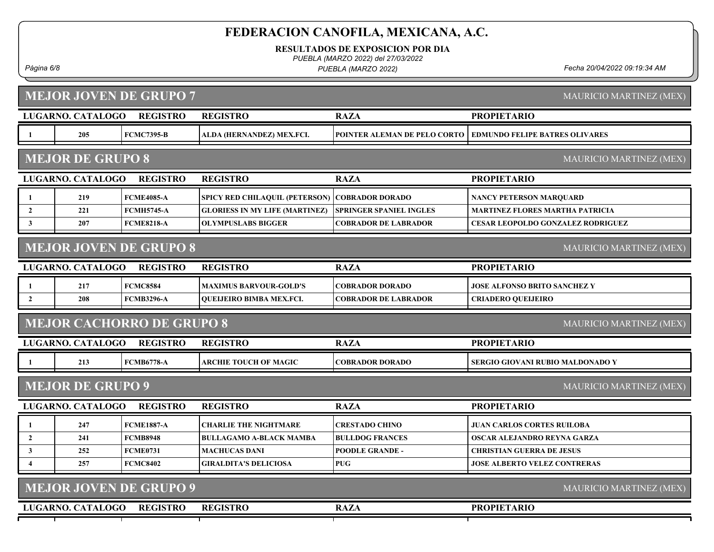RESULTADOS DE EXPOSICION POR DIA

PUEBLA (MARZO 2022) del 27/03/2022

PUEBLA (MARZO 2022)

Página 6/8 Fecha 20/04/2022 09:19:34 AM

MAURICIO MARTINEZ (MEX)

# MEJOR JOVEN DE GRUPO 7

|                | LUGARNO. CATALOGO        | <b>REGISTRO</b>                  | <b>REGISTRO</b>                       | <b>RAZA</b>                    | <b>PROPIETARIO</b>                       |
|----------------|--------------------------|----------------------------------|---------------------------------------|--------------------------------|------------------------------------------|
|                | 205                      | <b>FCMC7395-B</b>                | ALDA (HERNANDEZ) MEX.FCI.             | POINTER ALEMAN DE PELO CORTO   | <b>EDMUNDO FELIPE BATRES OLIVARES</b>    |
|                | <b>MEJOR DE GRUPO 8</b>  |                                  |                                       |                                | MAURICIO MARTINEZ (MEX)                  |
|                | <b>LUGARNO. CATALOGO</b> | <b>REGISTRO</b>                  | <b>REGISTRO</b>                       | <b>RAZA</b>                    | <b>PROPIETARIO</b>                       |
| 1              | 219                      | <b>FCME4085-A</b>                | <b>SPICY RED CHILAQUIL (PETERSON)</b> | <b>COBRADOR DORADO</b>         | <b>NANCY PETERSON MARQUARD</b>           |
| $\overline{2}$ | 221                      | <b>FCMH5745-A</b>                | <b>GLORIESS IN MY LIFE (MARTINEZ)</b> | <b>SPRINGER SPANIEL INGLES</b> | <b>MARTINEZ FLORES MARTHA PATRICIA</b>   |
| $\mathbf{3}$   | 207                      | <b>FCME8218-A</b>                | <b>OLYMPUSLABS BIGGER</b>             | <b>COBRADOR DE LABRADOR</b>    | <b>CESAR LEOPOLDO GONZALEZ RODRIGUEZ</b> |
|                |                          | <b>MEJOR JOVEN DE GRUPO 8</b>    |                                       |                                | MAURICIO MARTINEZ (MEX)                  |
|                | LUGARNO. CATALOGO        | <b>REGISTRO</b>                  | <b>REGISTRO</b>                       | <b>RAZA</b>                    | <b>PROPIETARIO</b>                       |
| 1              | 217                      | <b>FCMC8584</b>                  | <b>MAXIMUS BARVOUR-GOLD'S</b>         | <b>COBRADOR DORADO</b>         | <b>JOSE ALFONSO BRITO SANCHEZ Y</b>      |
| $\overline{2}$ | 208                      | <b>FCMB3296-A</b>                | <b>OUEIJEIRO BIMBA MEX.FCI.</b>       | <b>COBRADOR DE LABRADOR</b>    | <b>CRIADERO QUELJEIRO</b>                |
|                |                          | <b>MEJOR CACHORRO DE GRUPO 8</b> |                                       |                                | MAURICIO MARTINEZ (MEX)                  |
|                | LUGARNO. CATALOGO        | <b>REGISTRO</b>                  | <b>REGISTRO</b>                       | <b>RAZA</b>                    | <b>PROPIETARIO</b>                       |
|                | 213                      | <b>FCMB6778-A</b>                | <b>ARCHIE TOUCH OF MAGIC</b>          | <b>COBRADOR DORADO</b>         | SERGIO GIOVANI RUBIO MALDONADO Y         |
|                | <b>MEJOR DE GRUPO 9</b>  |                                  |                                       |                                | MAURICIO MARTINEZ (MEX)                  |
|                | LUGARNO. CATALOGO        | <b>REGISTRO</b>                  | <b>REGISTRO</b>                       | <b>RAZA</b>                    | <b>PROPIETARIO</b>                       |
| 1              | 247                      | <b>FCME1887-A</b>                | <b>CHARLIE THE NIGHTMARE</b>          | <b>CRESTADO CHINO</b>          | <b>JUAN CARLOS CORTES RUILOBA</b>        |
| $\overline{2}$ | 241                      | <b>FCMB8948</b>                  | <b>BULLAGAMO A-BLACK MAMBA</b>        | <b>BULLDOG FRANCES</b>         | OSCAR ALEJANDRO REYNA GARZA              |
| $\mathbf{3}$   | 252                      | <b>FCME0731</b>                  | <b>MACHUCAS DANI</b>                  | <b>POODLE GRANDE -</b>         | <b>CHRISTIAN GUERRA DE JESUS</b>         |
| $\overline{4}$ | 257                      | <b>FCMC8402</b>                  | <b>GIRALDITA'S DELICIOSA</b>          | <b>PUG</b>                     | <b>JOSE ALBERTO VELEZ CONTRERAS</b>      |
|                |                          | <b>MEJOR JOVEN DE GRUPO 9</b>    |                                       |                                | MAURICIO MARTINEZ (MEX)                  |
|                | LUGARNO. CATALOGO        | <b>REGISTRO</b>                  | <b>REGISTRO</b>                       | <b>RAZA</b>                    | <b>PROPIETARIO</b>                       |
|                |                          |                                  |                                       |                                |                                          |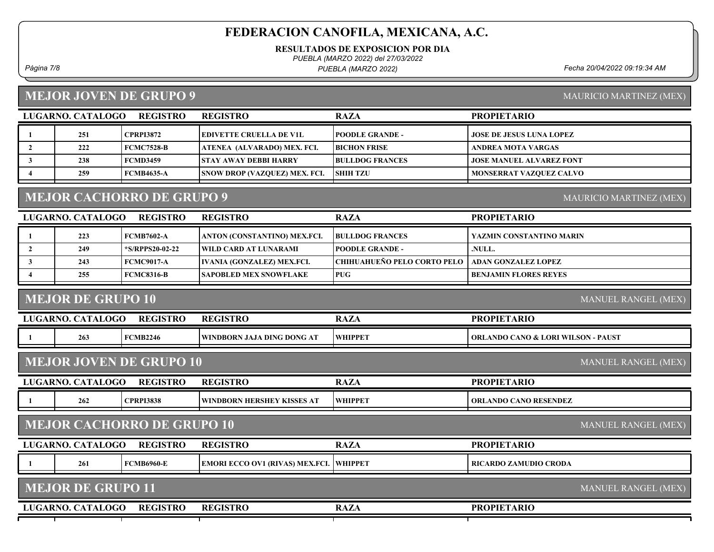RESULTADOS DE EXPOSICION POR DIA

PUEBLA (MARZO 2022) del 27/03/2022

PUEBLA (MARZO 2022)

Página 7/8 Fecha 20/04/2022 09:19:34 AM

#### MEJOR JOVEN DE GRUPO 9

MAURICIO MARTINEZ (MEX)

| LUGARNO. CATALOGO<br><b>REGISTRO</b> |     |                   | <b>REGISTRO</b>                      | <b>RAZA</b>             | <b>PROPIETARIO</b>              |
|--------------------------------------|-----|-------------------|--------------------------------------|-------------------------|---------------------------------|
|                                      | 251 | CPRPI3872         | <b> EDIVETTE CRUELLA DE V1L</b>      | <b>IPOODLE GRANDE -</b> | <b>JOSE DE JESUS LUNA LOPEZ</b> |
|                                      | 222 | <b>FCMC7528-B</b> | ATENEA (ALVARADO) MEX. FCI.          | <b>IBICHON FRISE</b>    | <b>ANDREA MOTA VARGAS</b>       |
|                                      | 238 | <b>FCMD3459</b>   | <b>ISTAY AWAY DEBBI HARRY</b>        | <b>BULLDOG FRANCES</b>  | <b>JOSE MANUEL ALVAREZ FONT</b> |
|                                      | 259 | <b>FCMB4635-A</b> | <b>SNOW DROP (VAZQUEZ) MEX. FCI.</b> | <b>SHIH TZU</b>         | <b>MONSERRAT VAZQUEZ CALVO</b>  |
|                                      |     |                   |                                      |                         |                                 |

### MEJOR CACHORRO DE GRUPO 9

MAURICIO MARTINEZ (MEX)

| <b>REGISTRO</b><br>LUGARNO. CATALOGO |     |                   | <b>REGISTRO</b>                     | <b>RAZA</b>                                              | <b>PROPIETARIO</b>       |
|--------------------------------------|-----|-------------------|-------------------------------------|----------------------------------------------------------|--------------------------|
|                                      | 223 | <b>FCMB7602-A</b> | <b>ANTON (CONSTANTINO) MEX.FCI.</b> | <b>BULLDOG FRANCES</b>                                   | YAZMIN CONSTANTINO MARIN |
|                                      | 249 | *S/RPPS20-02-22   | WILD CARD AT LUNARAMI               | <b>POODLE GRANDE -</b>                                   | .NULL.                   |
|                                      | 243 | <b>FCMC9017-A</b> | IVANIA (GONZALEZ) MEX.FCI.          | <b>CHIHUAHUENO PELO CORTO PELO   ADAN GONZALEZ LOPEZ</b> |                          |
|                                      | 255 | <b>FCMC8316-B</b> | SAPOBLED MEX SNOWFLAKE              | <b>PUG</b>                                               | BENJAMIN FLORES REYES    |

#### MEJOR DE GRUPO 10

MANUEL RANGEL (MEX)

| LUGARNO. CATALOGO                                      | <b>REGISTRO</b>                   | <b>REGISTRO</b>                                | <b>RAZA</b>    | <b>PROPIETARIO</b>                            |  |
|--------------------------------------------------------|-----------------------------------|------------------------------------------------|----------------|-----------------------------------------------|--|
| 263                                                    | <b>FCMB2246</b>                   | WINDBORN JAJA DING DONG AT                     | <b>WHIPPET</b> | <b>ORLANDO CANO &amp; LORI WILSON - PAUST</b> |  |
|                                                        | <b>MEJOR JOVEN DE GRUPO 10</b>    |                                                |                | <b>MANUEL RANGEL (MEX)</b>                    |  |
| LUGARNO. CATALOGO                                      | <b>REGISTRO</b>                   | <b>REGISTRO</b>                                | <b>RAZA</b>    | <b>PROPIETARIO</b>                            |  |
| 262                                                    | <b>CPRPI3838</b>                  | WINDBORN HERSHEY KISSES AT                     | <b>WHIPPET</b> | <b>ORLANDO CANO RESENDEZ</b>                  |  |
|                                                        | <b>MEJOR CACHORRO DE GRUPO 10</b> |                                                |                | <b>MANUEL RANGEL (MEX)</b>                    |  |
| LUGARNO. CATALOGO                                      | <b>REGISTRO</b>                   | <b>REGISTRO</b>                                | <b>RAZA</b>    | <b>PROPIETARIO</b>                            |  |
| 261                                                    | <b>FCMB6960-E</b>                 | <b>EMORI ECCO OV1 (RIVAS) MEX.FCI. WHIPPET</b> |                | <b>RICARDO ZAMUDIO CRODA</b>                  |  |
| <b>MEJOR DE GRUPO 11</b><br><b>MANUEL RANGEL (MEX)</b> |                                   |                                                |                |                                               |  |
| LUGARNO. CATALOGO                                      | <b>REGISTRO</b>                   | <b>REGISTRO</b>                                | <b>RAZA</b>    | <b>PROPIETARIO</b>                            |  |